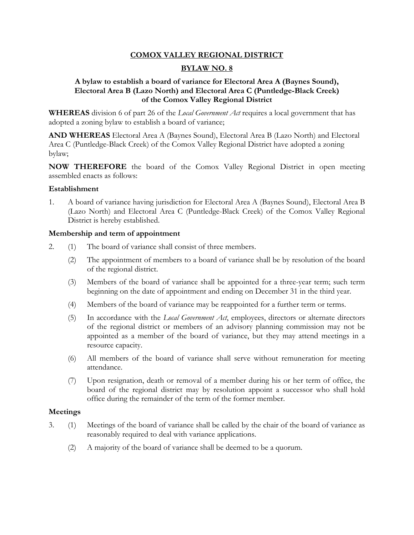## **COMOX VALLEY REGIONAL DISTRICT**

## **BYLAW NO. 8**

## **A bylaw to establish a board of variance for Electoral Area A (Baynes Sound), Electoral Area B (Lazo North) and Electoral Area C (Puntledge-Black Creek) of the Comox Valley Regional District**

**WHEREAS** division 6 of part 26 of the *Local Government Act* requires a local government that has adopted a zoning bylaw to establish a board of variance;

**AND WHEREAS** Electoral Area A (Baynes Sound), Electoral Area B (Lazo North) and Electoral Area C (Puntledge-Black Creek) of the Comox Valley Regional District have adopted a zoning bylaw;

**NOW THEREFORE** the board of the Comox Valley Regional District in open meeting assembled enacts as follows:

#### **Establishment**

1. A board of variance having jurisdiction for Electoral Area A (Baynes Sound), Electoral Area B (Lazo North) and Electoral Area C (Puntledge-Black Creek) of the Comox Valley Regional District is hereby established.

#### **Membership and term of appointment**

- 2. (1) The board of variance shall consist of three members.
	- (2) The appointment of members to a board of variance shall be by resolution of the board of the regional district.
	- (3) Members of the board of variance shall be appointed for a three-year term; such term beginning on the date of appointment and ending on December 31 in the third year.
	- (4) Members of the board of variance may be reappointed for a further term or terms.
	- (5) In accordance with the *Local Government Act*, employees, directors or alternate directors of the regional district or members of an advisory planning commission may not be appointed as a member of the board of variance, but they may attend meetings in a resource capacity.
	- (6) All members of the board of variance shall serve without remuneration for meeting attendance.
	- (7) Upon resignation, death or removal of a member during his or her term of office, the board of the regional district may by resolution appoint a successor who shall hold office during the remainder of the term of the former member.

#### **Meetings**

- 3. (1) Meetings of the board of variance shall be called by the chair of the board of variance as reasonably required to deal with variance applications.
	- (2) A majority of the board of variance shall be deemed to be a quorum.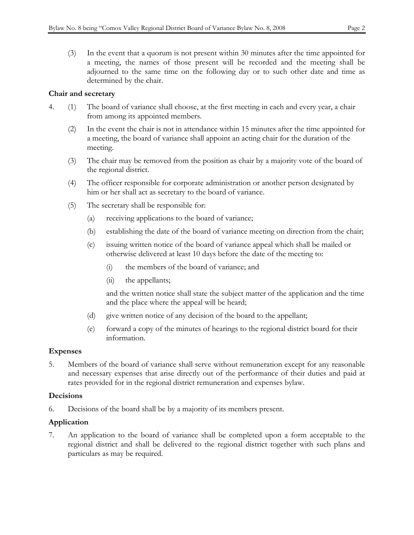(3) In the event that a quorum is not present within 30 minutes after the time appointed for a meeting, the names of those present will be recorded and the meeting shall be adjourned to the same time on the following day or to such other date and time as

# **Chair and secretary**

- 4. (1) The board of variance shall choose, at the first meeting in each and every year, a chair from among its appointed members.
	- (2) In the event the chair is not in attendance within 15 minutes after the time appointed for a meeting, the board of variance shall appoint an acting chair for the duration of the meeting.
	- (3) The chair may be removed from the position as chair by a majority vote of the board of the regional district.
	- (4) The officer responsible for corporate administration or another person designated by him or her shall act as secretary to the board of variance.
	- (5) The secretary shall be responsible for:

determined by the chair.

- (a) receiving applications to the board of variance;
- (b) establishing the date of the board of variance meeting on direction from the chair;
- (c) issuing written notice of the board of variance appeal which shall be mailed or otherwise delivered at least 10 days before the date of the meeting to:
	- (i) the members of the board of variance; and
	- (ii) the appellants;

and the written notice shall state the subject matter of the application and the time and the place where the appeal will be heard;

- (d) give written notice of any decision of the board to the appellant;
- (e) forward a copy of the minutes of hearings to the regional district board for their information.

# **Expenses**

5. Members of the board of variance shall serve without remuneration except for any reasonable and necessary expenses that arise directly out of the performance of their duties and paid at rates provided for in the regional district remuneration and expenses bylaw.

# **Decisions**

6. Decisions of the board shall be by a majority of its members present.

# **Application**

7. An application to the board of variance shall be completed upon a form acceptable to the regional district and shall be delivered to the regional district together with such plans and particulars as may be required.